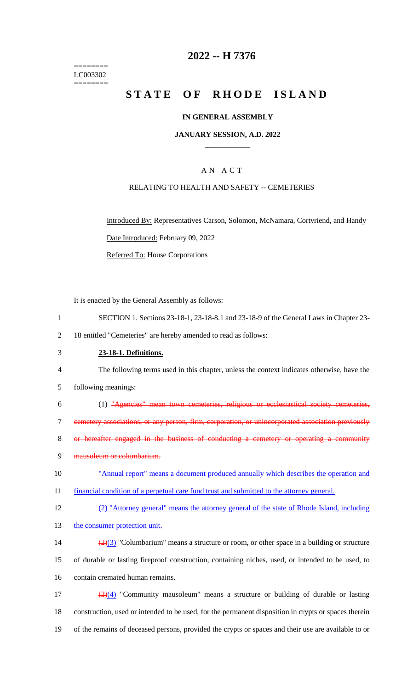======== LC003302 ========

# **2022 -- H 7376**

# **STATE OF RHODE ISLAND**

#### **IN GENERAL ASSEMBLY**

#### **JANUARY SESSION, A.D. 2022 \_\_\_\_\_\_\_\_\_\_\_\_**

## A N A C T

#### RELATING TO HEALTH AND SAFETY -- CEMETERIES

Introduced By: Representatives Carson, Solomon, McNamara, Cortvriend, and Handy Date Introduced: February 09, 2022 Referred To: House Corporations

It is enacted by the General Assembly as follows:

- 1 SECTION 1. Sections 23-18-1, 23-18-8.1 and 23-18-9 of the General Laws in Chapter 23-
- 2 18 entitled "Cemeteries" are hereby amended to read as follows:
- 3 **23-18-1. Definitions.**

4 The following terms used in this chapter, unless the context indicates otherwise, have the

- 5 following meanings:
- 6 (1) "Agencies" mean town cemeteries, religious or ecclesiastical society cemeteries, 7 cemetery associations, or any person, firm, corporation, or unincorporated association previously 8 or hereafter engaged in the business of conducting a cemetery or operating a community 9 mausoleum or columbarium.
- 10 "Annual report" means a document produced annually which describes the operation and 11 financial condition of a perpetual care fund trust and submitted to the attorney general.
- 12 (2) "Attorney general" means the attorney general of the state of Rhode Island, including
- 13 the consumer protection unit.
- 14  $\frac{(2)(3)}{2}$  "Columbarium" means a structure or room, or other space in a building or structure 15 of durable or lasting fireproof construction, containing niches, used, or intended to be used, to 16 contain cremated human remains.

17 (3)(4) "Community mausoleum" means a structure or building of durable or lasting 18 construction, used or intended to be used, for the permanent disposition in crypts or spaces therein 19 of the remains of deceased persons, provided the crypts or spaces and their use are available to or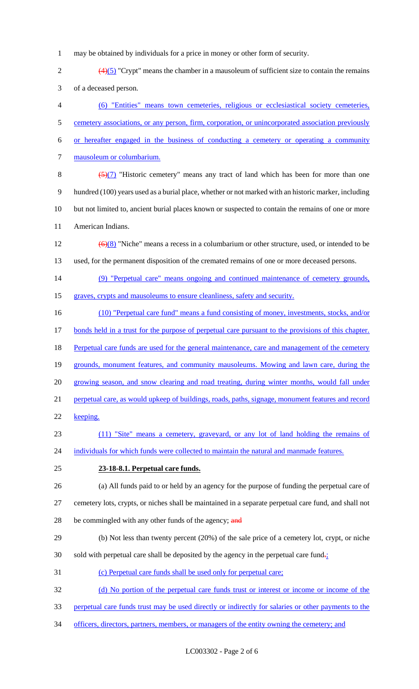- 1 may be obtained by individuals for a price in money or other form of security.
- 2  $\left(4\right)\left(5\right)$  "Crypt" means the chamber in a mausoleum of sufficient size to contain the remains 3 of a deceased person.
- 4 (6) "Entities" means town cemeteries, religious or ecclesiastical society cemeteries, 5 cemetery associations, or any person, firm, corporation, or unincorporated association previously 6 or hereafter engaged in the business of conducting a cemetery or operating a community 7 mausoleum or columbarium.
- 8  $\left(\frac{5}{(7)}\right)$  "Historic cemetery" means any tract of land which has been for more than one 9 hundred (100) years used as a burial place, whether or not marked with an historic marker, including 10 but not limited to, ancient burial places known or suspected to contain the remains of one or more 11 American Indians.
- 12  $(6)(8)$  "Niche" means a recess in a columbarium or other structure, used, or intended to be 13 used, for the permanent disposition of the cremated remains of one or more deceased persons.
- 14 (9) "Perpetual care" means ongoing and continued maintenance of cemetery grounds,
- 15 graves, crypts and mausoleums to ensure cleanliness, safety and security.
- 16 (10) "Perpetual care fund" means a fund consisting of money, investments, stocks, and/or 17 bonds held in a trust for the purpose of perpetual care pursuant to the provisions of this chapter. 18 Perpetual care funds are used for the general maintenance, care and management of the cemetery 19 grounds, monument features, and community mausoleums. Mowing and lawn care, during the 20 growing season, and snow clearing and road treating, during winter months, would fall under 21 perpetual care, as would upkeep of buildings, roads, paths, signage, monument features and record 22 keeping. 23 (11) "Site" means a cemetery, graveyard, or any lot of land holding the remains of 24 individuals for which funds were collected to maintain the natural and manmade features. 25 **23-18-8.1. Perpetual care funds.** 26 (a) All funds paid to or held by an agency for the purpose of funding the perpetual care of
- 27 cemetery lots, crypts, or niches shall be maintained in a separate perpetual care fund, and shall not
- 28 be commingled with any other funds of the agency; and
- 29 (b) Not less than twenty percent (20%) of the sale price of a cemetery lot, crypt, or niche 30 sold with perpetual care shall be deposited by the agency in the perpetual care fund $\frac{1}{2}$
- 31 (c) Perpetual care funds shall be used only for perpetual care;
- 32 (d) No portion of the perpetual care funds trust or interest or income or income of the
- 33 perpetual care funds trust may be used directly or indirectly for salaries or other payments to the
- 34 officers, directors, partners, members, or managers of the entity owning the cemetery; and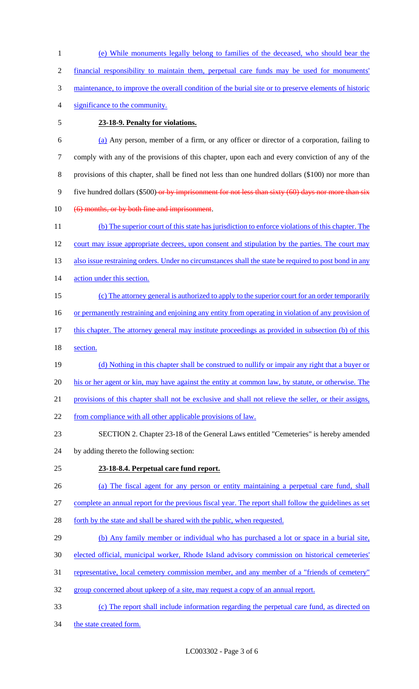1 (e) While monuments legally belong to families of the deceased, who should bear the 2 financial responsibility to maintain them, perpetual care funds may be used for monuments' 3 maintenance, to improve the overall condition of the burial site or to preserve elements of historic

- 4 significance to the community.
- 

### 5 **23-18-9. Penalty for violations.**

 (a) Any person, member of a firm, or any officer or director of a corporation, failing to comply with any of the provisions of this chapter, upon each and every conviction of any of the provisions of this chapter, shall be fined not less than one hundred dollars (\$100) nor more than 9 five hundred dollars (\$500) or by imprisonment for not less than sixty (60) days nor more than six

10 (6) months, or by both fine and imprisonment.

11 (b) The superior court of this state has jurisdiction to enforce violations of this chapter. The 12 court may issue appropriate decrees, upon consent and stipulation by the parties. The court may 13 also issue restraining orders. Under no circumstances shall the state be required to post bond in any 14 action under this section.

15 (c) The attorney general is authorized to apply to the superior court for an order temporarily

16 or permanently restraining and enjoining any entity from operating in violation of any provision of

17 this chapter. The attorney general may institute proceedings as provided in subsection (b) of this 18 section.

- 19 (d) Nothing in this chapter shall be construed to nullify or impair any right that a buyer or 20 his or her agent or kin, may have against the entity at common law, by statute, or otherwise. The
- 
- 21 provisions of this chapter shall not be exclusive and shall not relieve the seller, or their assigns,
- 22 from compliance with all other applicable provisions of law.
- 23 SECTION 2. Chapter 23-18 of the General Laws entitled "Cemeteries" is hereby amended
- 24 by adding thereto the following section:
- 25 **23-18-8.4. Perpetual care fund report.**
- 26 (a) The fiscal agent for any person or entity maintaining a perpetual care fund, shall

27 complete an annual report for the previous fiscal year. The report shall follow the guidelines as set

- 28 forth by the state and shall be shared with the public, when requested.
- 29 (b) Any family member or individual who has purchased a lot or space in a burial site,
- 30 elected official, municipal worker, Rhode Island advisory commission on historical cemeteries'
- 31 representative, local cemetery commission member, and any member of a "friends of cemetery"
- 32 group concerned about upkeep of a site, may request a copy of an annual report.
- 33 (c) The report shall include information regarding the perpetual care fund, as directed on
- 34 the state created form.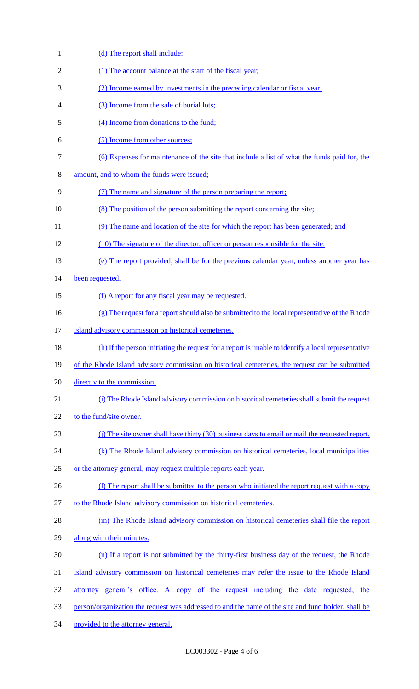| $\mathbf{1}$ | (d) The report shall include:                                                                       |
|--------------|-----------------------------------------------------------------------------------------------------|
| 2            | (1) The account balance at the start of the fiscal year;                                            |
| 3            | (2) Income earned by investments in the preceding calendar or fiscal year;                          |
| 4            | (3) Income from the sale of burial lots;                                                            |
| 5            | (4) Income from donations to the fund;                                                              |
| 6            | (5) Income from other sources;                                                                      |
| $\tau$       | (6) Expenses for maintenance of the site that include a list of what the funds paid for, the        |
| 8            | amount, and to whom the funds were issued;                                                          |
| 9            | (7) The name and signature of the person preparing the report;                                      |
| 10           | (8) The position of the person submitting the report concerning the site;                           |
| 11           | (9) The name and location of the site for which the report has been generated; and                  |
| 12           | (10) The signature of the director, officer or person responsible for the site.                     |
| 13           | (e) The report provided, shall be for the previous calendar year, unless another year has           |
| 14           | been requested.                                                                                     |
| 15           | (f) A report for any fiscal year may be requested.                                                  |
| 16           | (g) The request for a report should also be submitted to the local representative of the Rhode      |
| 17           | Island advisory commission on historical cemeteries.                                                |
| 18           | (h) If the person initiating the request for a report is unable to identify a local representative  |
| 19           | of the Rhode Island advisory commission on historical cemeteries, the request can be submitted      |
| 20           | directly to the commission.                                                                         |
| 21           | (i) The Rhode Island advisory commission on historical cemeteries shall submit the request          |
| 22           | to the fund/site owner.                                                                             |
| 23           | (j) The site owner shall have thirty (30) business days to email or mail the requested report.      |
| 24           | (k) The Rhode Island advisory commission on historical cemeteries, local municipalities             |
| 25           | or the attorney general, may request multiple reports each year.                                    |
| 26           | (1) The report shall be submitted to the person who initiated the report request with a copy        |
| 27           | to the Rhode Island advisory commission on historical cemeteries.                                   |
| 28           | (m) The Rhode Island advisory commission on historical cemeteries shall file the report             |
| 29           | along with their minutes.                                                                           |
| 30           | (n) If a report is not submitted by the thirty-first business day of the request, the Rhode         |
| 31           | Island advisory commission on historical cemeteries may refer the issue to the Rhode Island         |
| 32           | <u>attorney general's office. A copy of the request including the date requested, the</u>           |
| 33           | person/organization the request was addressed to and the name of the site and fund holder, shall be |
| 34           | provided to the attorney general.                                                                   |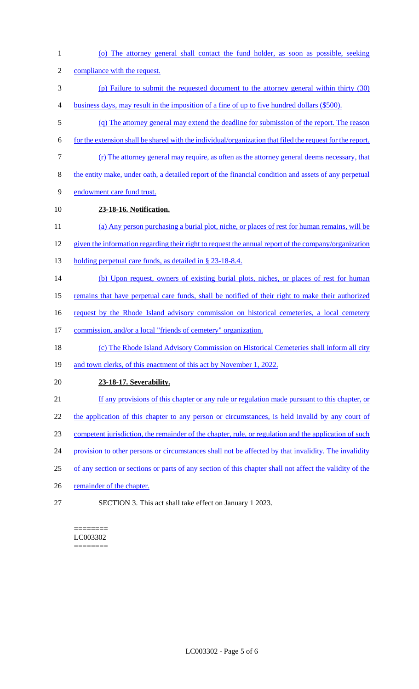(o) The attorney general shall contact the fund holder, as soon as possible, seeking compliance with the request. (p) Failure to submit the requested document to the attorney general within thirty (30) business days, may result in the imposition of a fine of up to five hundred dollars (\$500). (q) The attorney general may extend the deadline for submission of the report. The reason for the extension shall be shared with the individual/organization that filed the request for the report. (r) The attorney general may require, as often as the attorney general deems necessary, that the entity make, under oath, a detailed report of the financial condition and assets of any perpetual endowment care fund trust. **23-18-16. Notification.**  (a) Any person purchasing a burial plot, niche, or places of rest for human remains, will be given the information regarding their right to request the annual report of the company/organization 13 holding perpetual care funds, as detailed in § 23-18-8.4. (b) Upon request, owners of existing burial plots, niches, or places of rest for human remains that have perpetual care funds, shall be notified of their right to make their authorized 16 request by the Rhode Island advisory commission on historical cemeteries, a local cemetery commission, and/or a local "friends of cemetery" organization. 18 (c) The Rhode Island Advisory Commission on Historical Cemeteries shall inform all city 19 and town clerks, of this enactment of this act by November 1, 2022. **23-18-17. Severability.**  If any provisions of this chapter or any rule or regulation made pursuant to this chapter, or 22 the application of this chapter to any person or circumstances, is held invalid by any court of competent jurisdiction, the remainder of the chapter, rule, or regulation and the application of such 24 provision to other persons or circumstances shall not be affected by that invalidity. The invalidity of any section or sections or parts of any section of this chapter shall not affect the validity of the 26 remainder of the chapter. SECTION 3. This act shall take effect on January 1 2023.

#### ======== LC003302

========